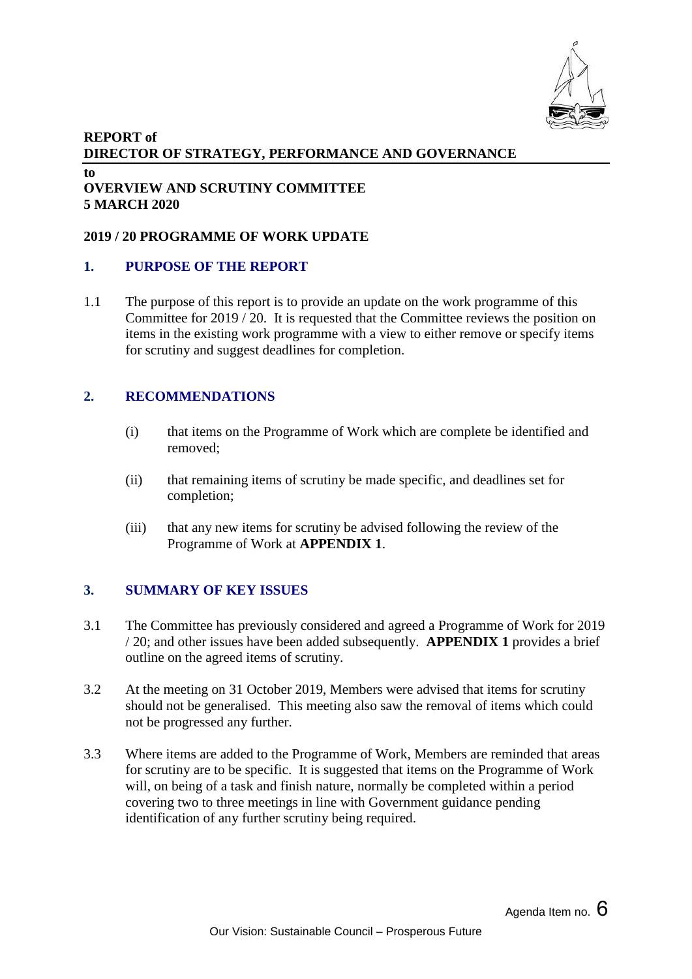

# **REPORT of DIRECTOR OF STRATEGY, PERFORMANCE AND GOVERNANCE to**

# **OVERVIEW AND SCRUTINY COMMITTEE 5 MARCH 2020**

#### **2019 / 20 PROGRAMME OF WORK UPDATE**

### **1. PURPOSE OF THE REPORT**

1.1 The purpose of this report is to provide an update on the work programme of this Committee for 2019 / 20. It is requested that the Committee reviews the position on items in the existing work programme with a view to either remove or specify items for scrutiny and suggest deadlines for completion.

# **2. RECOMMENDATIONS**

- (i) that items on the Programme of Work which are complete be identified and removed;
- (ii) that remaining items of scrutiny be made specific, and deadlines set for completion;
- (iii) that any new items for scrutiny be advised following the review of the Programme of Work at **APPENDIX 1**.

# **3. SUMMARY OF KEY ISSUES**

- 3.1 The Committee has previously considered and agreed a Programme of Work for 2019 / 20; and other issues have been added subsequently. **APPENDIX 1** provides a brief outline on the agreed items of scrutiny.
- 3.2 At the meeting on 31 October 2019, Members were advised that items for scrutiny should not be generalised. This meeting also saw the removal of items which could not be progressed any further.
- 3.3 Where items are added to the Programme of Work, Members are reminded that areas for scrutiny are to be specific. It is suggested that items on the Programme of Work will, on being of a task and finish nature, normally be completed within a period covering two to three meetings in line with Government guidance pending identification of any further scrutiny being required.